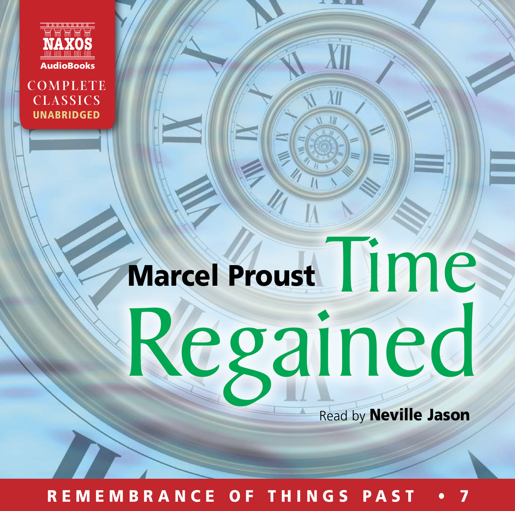

**COMPLETE CLASSICS** UNABRIDGED

# rcel Proust Time Regained Marcel Proust

**Read by Neville Jason** 

REMEMBRANCE OF THINGS PAST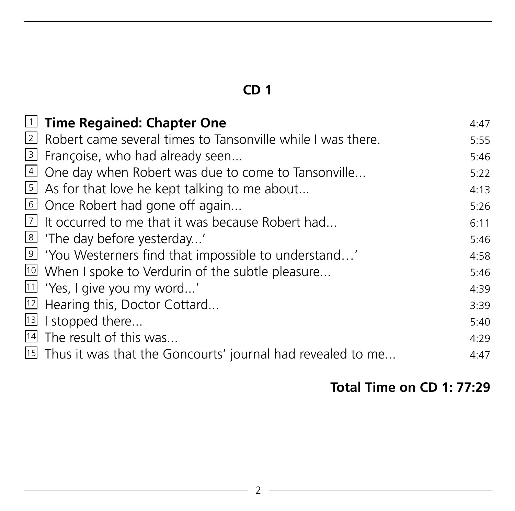| $\mathbb I$ Time Regained: Chapter One                           | 4:47 |
|------------------------------------------------------------------|------|
| 2 Robert came several times to Tansonville while I was there.    | 5:55 |
| 3 Françoise, who had already seen                                | 5:46 |
| 4 One day when Robert was due to come to Tansonville             | 5:22 |
| $\overline{5}$ As for that love he kept talking to me about      | 4:13 |
| © Once Robert had gone off again                                 | 5:26 |
| $\overline{2}$ It occurred to me that it was because Robert had  | 6:11 |
| 8 'The day before yesterday'                                     | 5:46 |
| <sup>9</sup> 'You Westerners find that impossible to understand' | 4:58 |
| 10 When I spoke to Verdurin of the subtle pleasure               | 5:46 |
| $\overline{11}$ 'Yes, I give you my word'                        | 4:39 |
| <sup>12</sup> Hearing this, Doctor Cottard                       | 3:39 |
| <sup>13</sup> I stopped there                                    | 5:40 |
| 14 The result of this was                                        | 4:29 |
| 15 Thus it was that the Goncourts' journal had revealed to me    | 4:47 |
|                                                                  |      |

# **Total Time on CD 1: 77:29**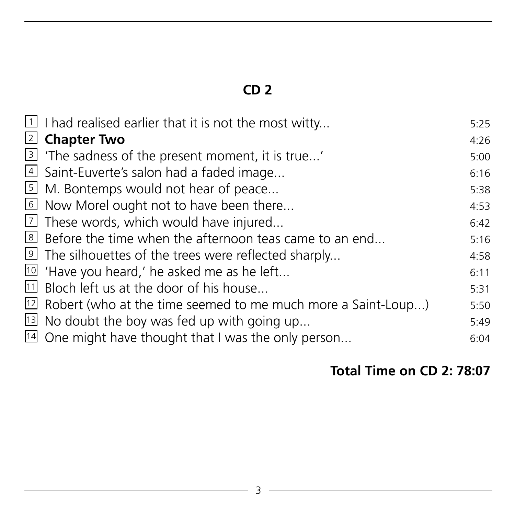| $\overline{1}$ I had realised earlier that it is not the most witty          | 5:25 |
|------------------------------------------------------------------------------|------|
| 2 Chapter Two                                                                | 4:26 |
| <sup>3</sup> The sadness of the present moment, it is true'                  | 5:00 |
| $\overline{4}$ Saint-Euverte's salon had a faded image                       | 6:16 |
| 5 M. Bontemps would not hear of peace                                        | 5:38 |
| <u><sup>6</sup></u> Now Morel ought not to have been there                   | 4:53 |
| $\overline{2}$ These words, which would have injured                         | 6:42 |
| <sup>8</sup> Before the time when the afternoon teas came to an end          | 5:16 |
| <sup>9</sup> The silhouettes of the trees were reflected sharply             | 4:58 |
| $\overline{10}$ 'Have you heard,' he asked me as he left                     | 6:11 |
| 11 Bloch left us at the door of his house                                    | 5:31 |
| $\overline{12}$ Robert (who at the time seemed to me much more a Saint-Loup) | 5:50 |
| $\overline{13}$ No doubt the boy was fed up with going up                    | 5:49 |
| $14$ One might have thought that I was the only person                       | 6:04 |
|                                                                              |      |

#### **Total Time on CD 2: 78:07**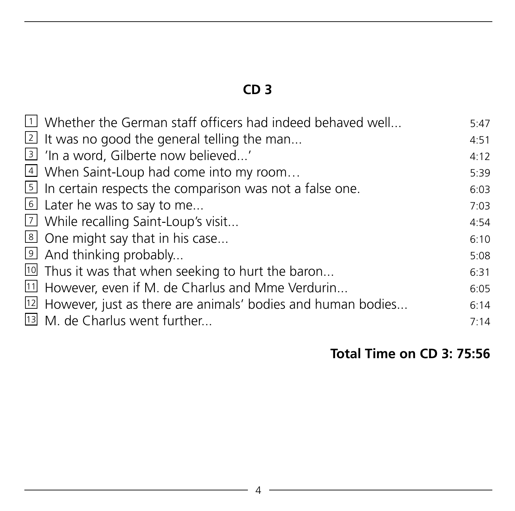| $\overline{1}$ Whether the German staff officers had indeed behaved well    | 5:47 |
|-----------------------------------------------------------------------------|------|
| $\overline{2}$ It was no good the general telling the man                   | 4:51 |
| <u>3</u> In a word, Gilberte now believed'                                  | 4:12 |
| 4 When Saint-Loup had come into my room                                     | 5:39 |
| $\overline{5}$ In certain respects the comparison was not a false one.      | 6:03 |
| $\overline{6}$ Later he was to say to me                                    | 7:03 |
| 7 While recalling Saint-Loup's visit                                        | 4:54 |
| 8 One might say that in his case                                            | 6:10 |
| $\overline{9}$ And thinking probably                                        | 5:08 |
| <sup>10</sup> Thus it was that when seeking to hurt the baron               | 6:31 |
| $11$ However, even if M. de Charlus and Mme Verdurin                        | 6:05 |
| $\overline{12}$ However, just as there are animals' bodies and human bodies | 6:14 |
| 13 M. de Charlus went further                                               | 7:14 |
|                                                                             |      |

# **Total Time on CD 3: 75:56**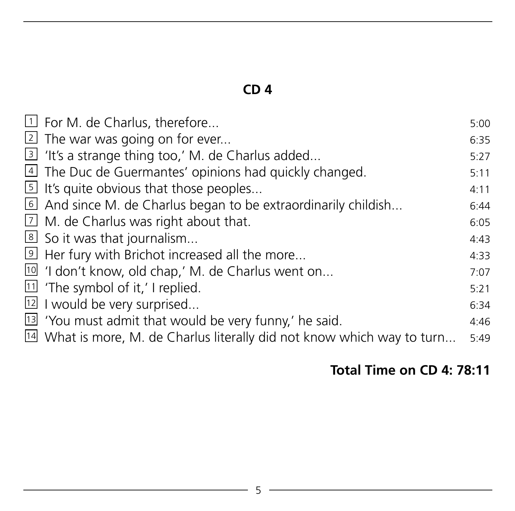| $\Box$ For M. de Charlus, therefore                                         | 5:00 |
|-----------------------------------------------------------------------------|------|
| $\lfloor 2 \rfloor$ The war was going on for ever                           | 6:35 |
| 3 'It's a strange thing too,' M. de Charlus added                           | 5:27 |
| 4 The Duc de Guermantes' opinions had quickly changed.                      | 5:11 |
| $\boxed{5}$ It's quite obvious that those peoples                           | 4:11 |
| $\overline{6}$ And since M. de Charlus began to be extraordinarily childish | 6:44 |
| $\boxed{2}$ M. de Charlus was right about that.                             | 6:05 |
| 8 So it was that journalism                                                 | 4:43 |
| I Her fury with Brichot increased all the more                              | 4:33 |
| 10 'I don't know, old chap,' M. de Charlus went on                          | 7:07 |
| $\boxed{11}$ 'The symbol of it,' I replied.                                 | 5:21 |
| <sup>12</sup> I would be very surprised                                     | 6:34 |
| <sup>13</sup> 'You must admit that would be very funny,' he said.           | 4:46 |
| $14$ What is more, M. de Charlus literally did not know which way to turn   | 5:49 |

#### **Total Time on CD 4: 78:11**

<u> 1989 - Johann Barn, mars an t-Amerikaansk kommunister (</u>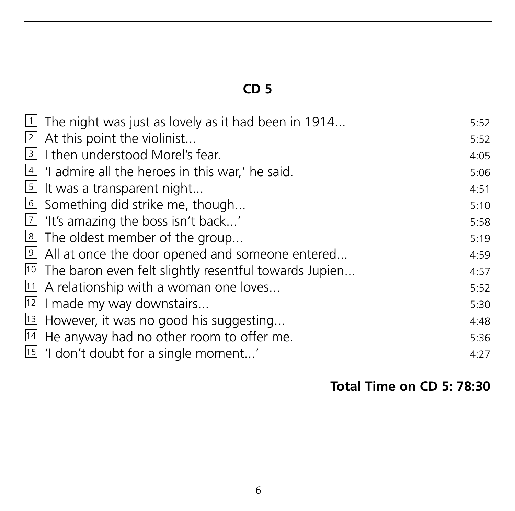| $\overline{1}$ The night was just as lovely as it had been in 1914  | 5:52 |
|---------------------------------------------------------------------|------|
| 2 At this point the violinist                                       | 5:52 |
| 3 I then understood Morel's fear.                                   | 4:05 |
| $\frac{4}{1}$ 'I admire all the heroes in this war,' he said.       | 5:06 |
| $\overline{5}$ It was a transparent night                           | 4:51 |
| 6 Something did strike me, though                                   | 5:10 |
| $\overline{2}$ 'It's amazing the boss isn't back'                   | 5:58 |
| <sup>8</sup> The oldest member of the group                         | 5:19 |
| 9 All at once the door opened and someone entered                   | 4:59 |
| <sup>10</sup> The baron even felt slightly resentful towards Jupien | 4:57 |
| $11$ A relationship with a woman one loves                          | 5:52 |
| $12$ I made my way downstairs                                       | 5:30 |
| <sup>13</sup> However, it was no good his suggesting                | 4:48 |
| $\frac{14}{14}$ He anyway had no other room to offer me.            | 5:36 |
| <sup>15</sup> 'I don't doubt for a single moment'                   | 4:27 |
|                                                                     |      |

# **Total Time on CD 5: 78:30**

<u> 1980 - Johann Barnett, fransk politik (</u>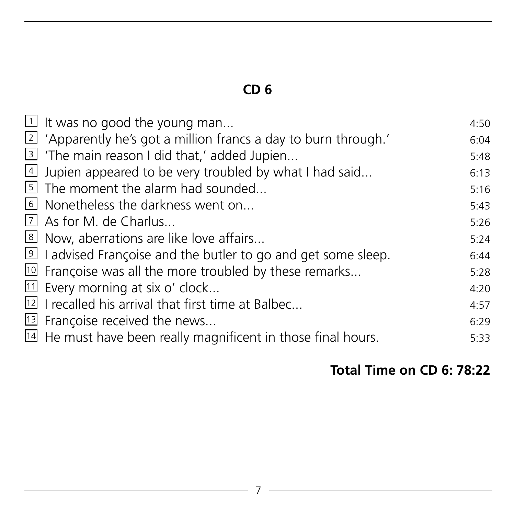| $\perp$ It was no good the young man                                       | 4:50 |
|----------------------------------------------------------------------------|------|
| 2 'Apparently he's got a million francs a day to burn through.'            | 6:04 |
| 3 'The main reason I did that,' added Jupien                               | 5:48 |
| $\overline{4}$ Jupien appeared to be very troubled by what I had said      | 6:13 |
| I The moment the alarm had sounded                                         | 5:16 |
| <b>6</b> Nonetheless the darkness went on                                  | 5:43 |
| 7 As for M. de Charlus                                                     | 5:26 |
| 8 Now, aberrations are like love affairs                                   | 5:24 |
| I advised Françoise and the butler to go and get some sleep.               | 6:44 |
| <sup>10</sup> Françoise was all the more troubled by these remarks         | 5:28 |
| $11$ Every morning at six o' clock                                         | 4:20 |
| <sup>12</sup> I recalled his arrival that first time at Balbec             | 4:57 |
| <sup>13</sup> Françoise received the news                                  | 6:29 |
| $\overline{14}$ He must have been really magnificent in those final hours. | 5:33 |

#### **Total Time on CD 6: 78:22**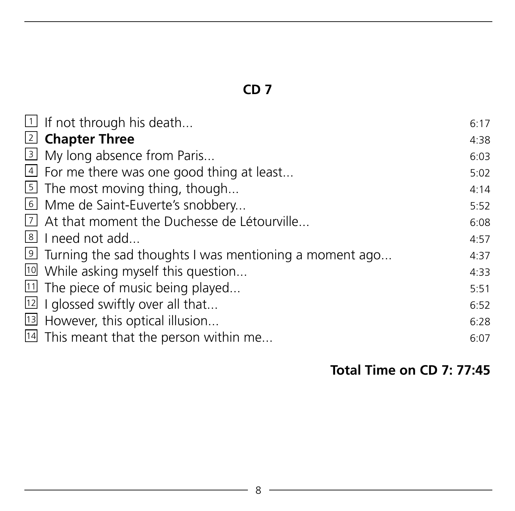| ₹ |  |
|---|--|
|   |  |
| ï |  |
| ١ |  |
| i |  |
|   |  |
| ¢ |  |
| ٢ |  |
|   |  |
|   |  |
| Š |  |

| $\exists$ If not through his death                                    | 6:17 |
|-----------------------------------------------------------------------|------|
| 2 Chapter Three                                                       | 4:38 |
| 3 My long absence from Paris                                          | 6:03 |
| $\overline{4}$ For me there was one good thing at least               | 5:02 |
| $\overline{5}$ The most moving thing, though                          | 4:14 |
| 6 Mme de Saint-Euverte's snobbery                                     | 5:52 |
| 7 At that moment the Duchesse de Létourville                          | 6:08 |
| 8 I need not add                                                      | 4:57 |
| $\overline{9}$ Turning the sad thoughts I was mentioning a moment ago | 4:37 |
| <sup>10</sup> While asking myself this question                       | 4:33 |
| $11$ The piece of music being played                                  | 5:51 |
| $\boxed{12}$ I glossed swiftly over all that                          | 6:52 |
| <sup>13</sup> However, this optical illusion                          | 6:28 |
| $14$ This meant that the person within me                             | 6:07 |

#### **Total Time on CD 7: 77:45**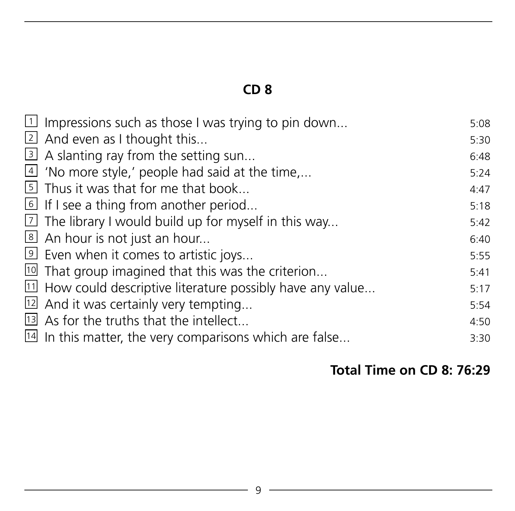| $\overline{1}$ Impressions such as those I was trying to pin down  | 5:08 |
|--------------------------------------------------------------------|------|
| 2 And even as I thought this                                       | 5:30 |
| 3 A slanting ray from the setting sun                              | 6:48 |
| $\overline{4}$ 'No more style,' people had said at the time,       | 5:24 |
| 5 Thus it was that for me that book                                | 4:47 |
| 6 If I see a thing from another period                             | 5:18 |
| $\overline{2}$ The library I would build up for myself in this way | 5:42 |
| 8 An hour is not just an hour                                      | 6:40 |
| 9 Even when it comes to artistic joys                              | 5:55 |
| $\overline{10}$ That group imagined that this was the criterion    | 5:41 |
| $11$ How could descriptive literature possibly have any value      | 5:17 |
| $12$ And it was certainly very tempting                            | 5:54 |
| <sup>13</sup> As for the truths that the intellect                 | 4:50 |
| $14$ In this matter, the very comparisons which are false          | 3:30 |
|                                                                    |      |

#### **Total Time on CD 8: 76:29**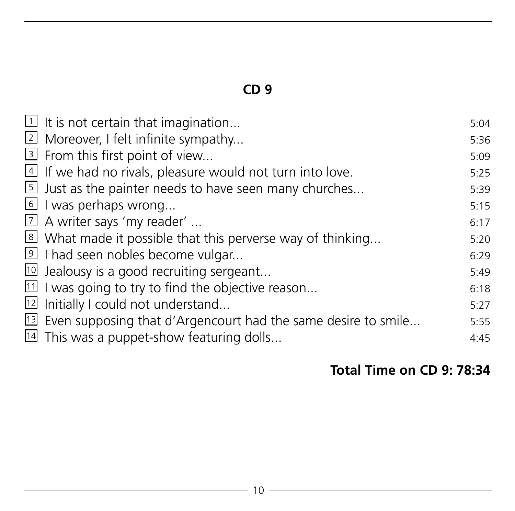| $\exists$ It is not certain that imagination                                | 5:04 |
|-----------------------------------------------------------------------------|------|
| <u>2</u> Moreover, I felt infinite sympathy                                 | 5:36 |
| 3 From this first point of view                                             | 5:09 |
| $\overline{4}$ If we had no rivals, pleasure would not turn into love.      | 5:25 |
| $\overline{5}$ Just as the painter needs to have seen many churches         | 5:39 |
| $\overline{6}$ I was perhaps wrong                                          | 5:15 |
| $\overline{1}$ A writer says 'my reader'                                    | 6:17 |
| 8 What made it possible that this perverse way of thinking                  | 5:20 |
| I had seen nobles become vulgar                                             | 6:29 |
| $10$ Jealousy is a good recruiting sergeant                                 | 5:49 |
| $11$ I was going to try to find the objective reason                        | 6:18 |
| $12$ Initially I could not understand                                       | 5:27 |
| <sup>13</sup> Even supposing that d'Argencourt had the same desire to smile | 5:55 |
| $14$ This was a puppet-show featuring dolls                                 | 4:45 |
|                                                                             |      |

#### **Total Time on CD 9: 78:34**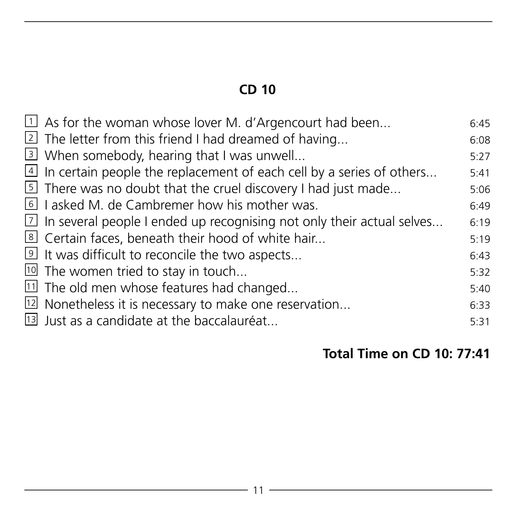| $\overline{1}$ As for the woman whose lover M. d'Argencourt had been                 | 6:45 |
|--------------------------------------------------------------------------------------|------|
| 2 The letter from this friend I had dreamed of having                                | 6:08 |
| 3 When somebody, hearing that I was unwell                                           | 5:27 |
| $\overline{4}$ In certain people the replacement of each cell by a series of others  | 5:41 |
| <sup>5</sup> There was no doubt that the cruel discovery I had just made             | 5:06 |
| I asked M. de Cambremer how his mother was.                                          | 6:49 |
| $\overline{2}$ In several people I ended up recognising not only their actual selves | 6:19 |
| 8 Certain faces, beneath their hood of white hair                                    | 5:19 |
| It was difficult to reconcile the two aspects                                        | 6:43 |
| $10$ The women tried to stay in touch                                                | 5:32 |
| 11 The old men whose features had changed                                            | 5:40 |
| $12$ Nonetheless it is necessary to make one reservation                             | 6:33 |
| 13 Just as a candidate at the baccalauréat                                           | 5:31 |
|                                                                                      |      |

# **Total Time on CD 10: 77:41**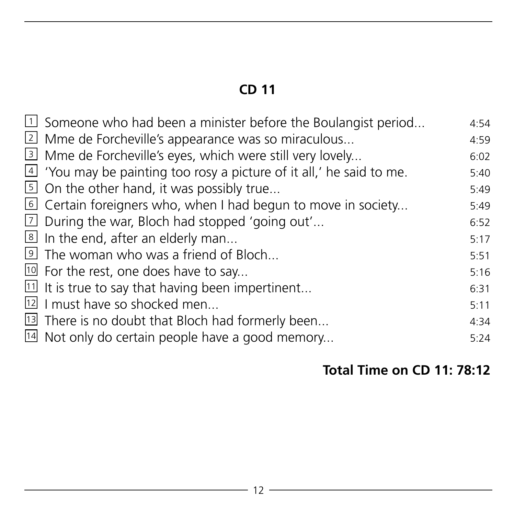| $\overline{1}$ Someone who had been a minister before the Boulangist period | 4:54 |
|-----------------------------------------------------------------------------|------|
|                                                                             |      |
| 2 Mme de Forcheville's appearance was so miraculous                         | 4:59 |
| 3 Mme de Forcheville's eyes, which were still very lovely                   | 6:02 |
| $4$ 'You may be painting too rosy a picture of it all,' he said to me.      | 5:40 |
| $\overline{5}$ On the other hand, it was possibly true                      | 5:49 |
| $\overline{6}$ Certain foreigners who, when I had begun to move in society  | 5:49 |
| $\overline{2}$ During the war, Bloch had stopped 'going out'                | 6:52 |
| $\overline{\mathcal{L}}$ In the end, after an elderly man                   | 5:17 |
| If the woman who was a friend of Bloch                                      | 5:51 |
| $10$ For the rest, one does have to say                                     | 5:16 |
| $11$ It is true to say that having been impertinent                         | 6:31 |
| $12$ I must have so shocked men                                             | 5:11 |
| <sup>13</sup> There is no doubt that Bloch had formerly been                | 4:34 |
| $\frac{14}{14}$ Not only do certain people have a good memory               | 5:24 |
|                                                                             |      |

# **Total Time on CD 11: 78:12**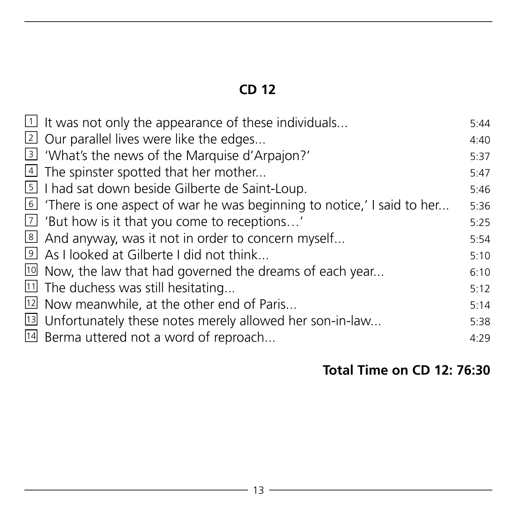| $\overline{1}$ It was not only the appearance of these individuals                    | 5:44 |
|---------------------------------------------------------------------------------------|------|
| 2 Our parallel lives were like the edges                                              | 4:40 |
| 3 'What's the news of the Marquise d'Arpajon?'                                        | 5:37 |
| $\overline{4}$ The spinster spotted that her mother                                   | 5:47 |
| 5 I had sat down beside Gilberte de Saint-Loup.                                       | 5:46 |
| $\overline{6}$ 'There is one aspect of war he was beginning to notice,' I said to her | 5:36 |
| $\overline{2}$ 'But how is it that you come to receptions'                            | 5:25 |
| 8 And anyway, was it not in order to concern myself                                   | 5:54 |
| 9 As I looked at Gilberte I did not think                                             | 5:10 |
| $10$ Now, the law that had governed the dreams of each year                           | 6:10 |
| <sup>11</sup> The duchess was still hesitating                                        | 5:12 |
| <sup>12</sup> Now meanwhile, at the other end of Paris                                | 5:14 |
| <sup>13</sup> Unfortunately these notes merely allowed her son-in-law                 | 5:38 |
| <sup>14</sup> Berma uttered not a word of reproach                                    | 4:29 |
|                                                                                       |      |

# **Total Time on CD 12: 76:30**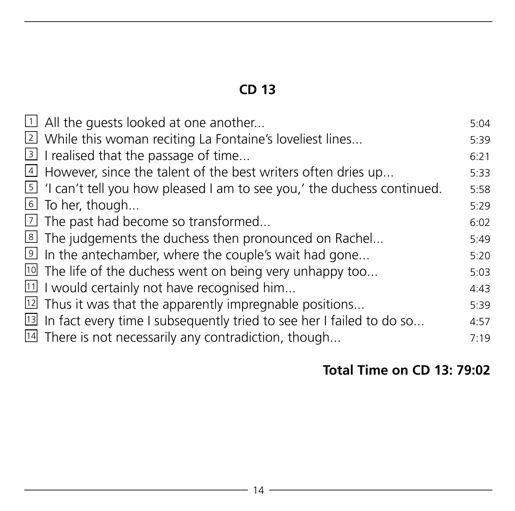| $\exists$ All the quests looked at one another                                        | 5:04 |
|---------------------------------------------------------------------------------------|------|
| 2 While this woman reciting La Fontaine's loveliest lines                             | 5:39 |
| $\overline{3}$ I realised that the passage of time                                    | 6:21 |
| 4 However, since the talent of the best writers often dries up                        | 5:33 |
| $\overline{5}$ 'I can't tell you how pleased I am to see you,' the duchess continued. | 5:58 |
| To her, though                                                                        | 5:29 |
| $\overline{2}$ The past had become so transformed                                     | 6:02 |
| 8 The judgements the duchess then pronounced on Rachel                                | 5:49 |
| In the antechamber, where the couple's wait had gone                                  | 5:20 |
| <sup>10</sup> The life of the duchess went on being very unhappy too                  | 5:03 |
| $11$ I would certainly not have recognised him                                        | 4:43 |
| $12$ Thus it was that the apparently impregnable positions                            | 5:39 |
| $13$ In fact every time I subsequently tried to see her I failed to do so             | 4:57 |
| $14$ There is not necessarily any contradiction, though                               | 7:19 |
|                                                                                       |      |

# **Total Time on CD 13: 79:02**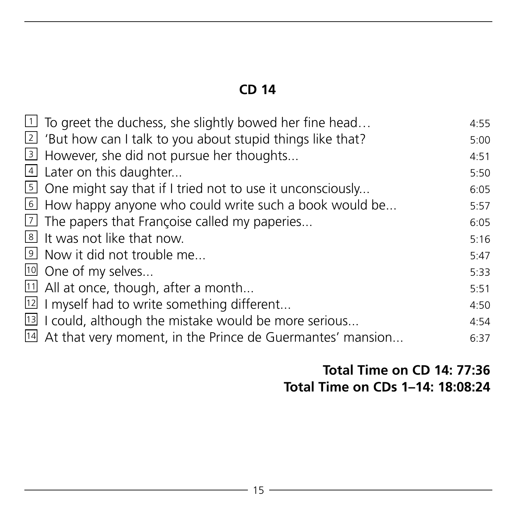| $\boxed{1}$ To greet the duchess, she slightly bowed her fine head   | 4:55 |
|----------------------------------------------------------------------|------|
| $\vert$ 2 'But how can I talk to you about stupid things like that?  | 5:00 |
| 3 However, she did not pursue her thoughts                           | 4:51 |
| 4 Later on this daughter                                             | 5:50 |
| 5 One might say that if I tried not to use it unconsciously          | 6:05 |
| $\overline{6}$ How happy anyone who could write such a book would be | 5:57 |
| $\boxed{7}$ The papers that Françoise called my paperies             | 6:05 |
| 8 It was not like that now.                                          | 5:16 |
| <b>9</b> Now it did not trouble me                                   | 5:47 |
| 10 One of my selves                                                  | 5:33 |
| $\boxed{11}$ All at once, though, after a month                      | 5:51 |
| <sup>12</sup> I myself had to write something different              | 4:50 |
| <sup>13</sup> I could, although the mistake would be more serious    | 4:54 |
| 14 At that very moment, in the Prince de Guermantes' mansion         | 6:37 |

#### **Total Time on CD 14: 77:36 Total Time on CDs 1–14: 18:08:24**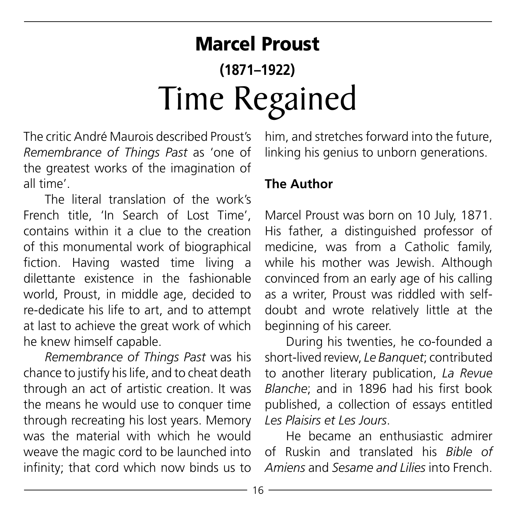# Marcel Proust **(1871–1922)** Time Regained

The critic André Maurois described Proust's *Remembrance of Things Past* as 'one of the greatest works of the imagination of all time'.

The literal translation of the work's French title, 'In Search of Lost Time', contains within it a clue to the creation of this monumental work of biographical fiction. Having wasted time living a dilettante existence in the fashionable world, Proust, in middle age, decided to re-dedicate his life to art, and to attempt at last to achieve the great work of which he knew himself capable.

*Remembrance of Things Past* was his chance to justify his life, and to cheat death through an act of artistic creation. It was the means he would use to conquer time through recreating his lost years. Memory was the material with which he would weave the magic cord to be launched into infinity; that cord which now binds us to

him, and stretches forward into the future, linking his genius to unborn generations.

#### **The Author**

Marcel Proust was born on 10 July, 1871. His father, a distinguished professor of medicine, was from a Catholic family while his mother was Jewish. Although convinced from an early age of his calling as a writer, Proust was riddled with selfdoubt and wrote relatively little at the beginning of his career.

During his twenties, he co-founded a short-lived review, *Le Banquet*; contributed to another literary publication, *La Revue Blanche*; and in 1896 had his first book published, a collection of essays entitled *Les Plaisirs et Les Jours*.

He became an enthusiastic admirer of Ruskin and translated his *Bible of Amiens* and *Sesame and Lilies* into French.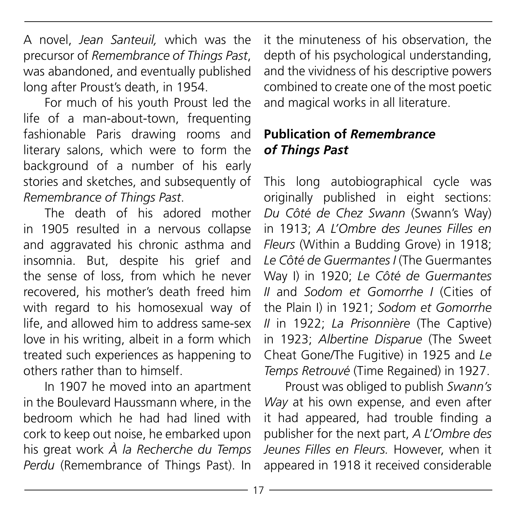A novel, *Jean Santeuil,* which was the precursor of *Remembrance of Things Past*, was abandoned, and eventually published long after Proust's death, in 1954.

For much of his youth Proust led the life of a man-about-town, frequenting fashionable Paris drawing rooms and literary salons, which were to form the background of a number of his early stories and sketches, and subsequently of *Remembrance of Things Past*.

The death of his adored mother in 1905 resulted in a nervous collapse and aggravated his chronic asthma and insomnia. But, despite his grief and the sense of loss, from which he never recovered, his mother's death freed him with regard to his homosexual way of life, and allowed him to address same-sex love in his writing, albeit in a form which treated such experiences as happening to others rather than to himself.

In 1907 he moved into an apartment in the Boulevard Haussmann where, in the bedroom which he had had lined with cork to keep out noise, he embarked upon his great work *À la Recherche du Temps Perdu* (Remembrance of Things Past). In

it the minuteness of his observation, the depth of his psychological understanding, and the vividness of his descriptive powers combined to create one of the most poetic and magical works in all literature.

#### **Publication of** *Remembrance of Things Past*

This long autobiographical cycle was originally published in eight sections: *Du Côté de Chez Swann* (Swann's Way) in 1913; *A L'Ombre des Jeunes Filles en Fleurs* (Within a Budding Grove) in 1918; *Le Côté de Guermantes I* (The Guermantes Way I) in 1920; *Le Côté de Guermantes II* and *Sodom et Gomorrhe I* (Cities of the Plain I) in 1921; *Sodom et Gomorrhe II* in 1922; *La Prisonnière* (The Captive) in 1923; *Albertine Disparue* (The Sweet Cheat Gone/The Fugitive) in 1925 and *Le Temps Retrouvé* (Time Regained) in 1927.

Proust was obliged to publish *Swann's Way* at his own expense, and even after it had appeared, had trouble finding a publisher for the next part, *A L'Ombre des Jeunes Filles en Fleurs.* However, when it appeared in 1918 it received considerable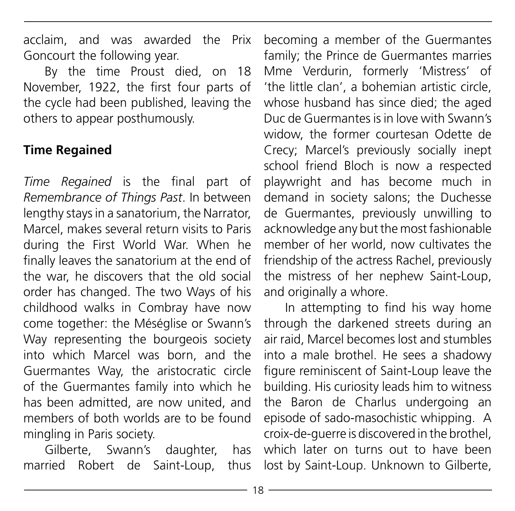acclaim, and was awarded the Prix Goncourt the following year.

By the time Proust died, on 18 November, 1922, the first four parts of the cycle had been published, leaving the others to appear posthumously.

#### **Time Regained**

*Time Regained* is the final part of *Remembrance of Things Past*. In between lengthy stays in a sanatorium, the Narrator, Marcel, makes several return visits to Paris during the First World War. When he finally leaves the sanatorium at the end of the war, he discovers that the old social order has changed. The two Ways of his childhood walks in Combray have now come together: the Méséglise or Swann's Way representing the bourgeois society into which Marcel was born, and the Guermantes Way, the aristocratic circle of the Guermantes family into which he has been admitted, are now united, and members of both worlds are to be found mingling in Paris society.

Gilberte, Swann's daughter, has married Robert de Saint-Loup, thus

becoming a member of the Guermantes family; the Prince de Guermantes marries Mme Verdurin, formerly 'Mistress' of 'the little clan', a bohemian artistic circle, whose husband has since died; the aged Duc de Guermantes is in love with Swann's widow, the former courtesan Odette de Crecy; Marcel's previously socially inept school friend Bloch is now a respected playwright and has become much in demand in society salons; the Duchesse de Guermantes, previously unwilling to acknowledge any but the most fashionable member of her world, now cultivates the friendship of the actress Rachel, previously the mistress of her nephew Saint-Loup, and originally a whore.

In attempting to find his way home through the darkened streets during an air raid, Marcel becomes lost and stumbles into a male brothel. He sees a shadowy figure reminiscent of Saint-Loup leave the building. His curiosity leads him to witness the Baron de Charlus undergoing an episode of sado-masochistic whipping. A croix-de-guerre is discovered in the brothel, which later on turns out to have been lost by Saint-Loup. Unknown to Gilberte,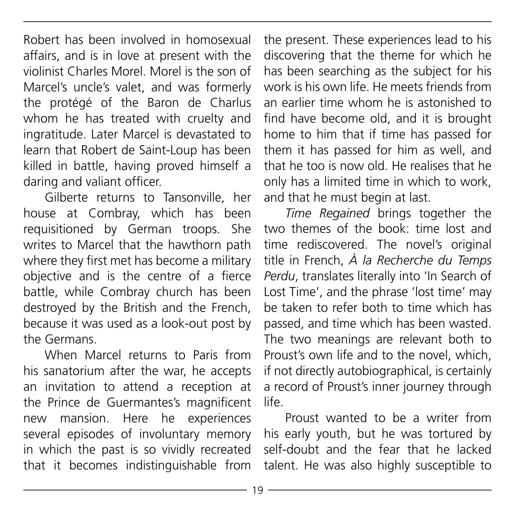Robert has been involved in homosexual affairs, and is in love at present with the violinist Charles Morel. Morel is the son of Marcel's uncle's valet, and was formerly the protégé of the Baron de Charlus whom he has treated with cruelty and ingratitude. Later Marcel is devastated to learn that Robert de Saint-Loup has been killed in battle, having proved himself a daring and valiant officer.

Gilberte returns to Tansonville, her house at Combray, which has been requisitioned by German troops. She writes to Marcel that the hawthorn path where they first met has become a military objective and is the centre of a fierce battle, while Combray church has been destroyed by the British and the French, because it was used as a look-out post by the Germans.

When Marcel returns to Paris from his sanatorium after the war, he accepts an invitation to attend a reception at the Prince de Guermantes's magnificent new mansion. Here he experiences several episodes of involuntary memory in which the past is so vividly recreated that it becomes indistinguishable from

the present. These experiences lead to his discovering that the theme for which he has been searching as the subject for his work is his own life. He meets friends from an earlier time whom he is astonished to find have become old, and it is brought home to him that if time has passed for them it has passed for him as well, and that he too is now old. He realises that he only has a limited time in which to work, and that he must begin at last.

*Time Regained* brings together the two themes of the book: time lost and time rediscovered. The novel's original title in French, *À la Recherche du Temps Perdu*, translates literally into 'In Search of Lost Time', and the phrase 'lost time' may be taken to refer both to time which has passed, and time which has been wasted. The two meanings are relevant both to Proust's own life and to the novel, which if not directly autobiographical, is certainly a record of Proust's inner journey through life.

Proust wanted to be a writer from his early youth, but he was tortured by self-doubt and the fear that he lacked talent. He was also highly susceptible to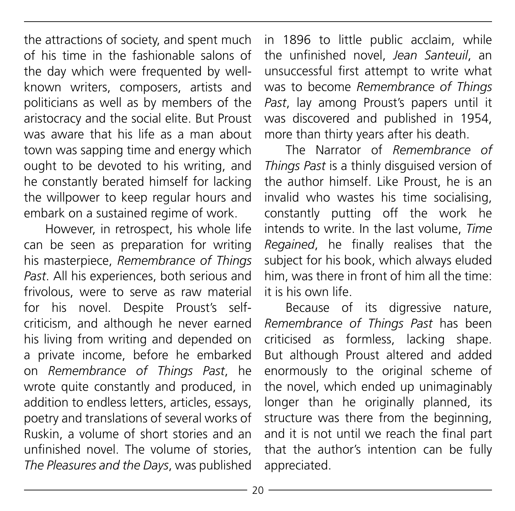the attractions of society, and spent much of his time in the fashionable salons of the day which were frequented by wellknown writers, composers, artists and politicians as well as by members of the aristocracy and the social elite. But Proust was aware that his life as a man about town was sapping time and energy which ought to be devoted to his writing, and he constantly berated himself for lacking the willpower to keep regular hours and embark on a sustained regime of work.

However, in retrospect, his whole life can be seen as preparation for writing his masterpiece, *Remembrance of Things Past*. All his experiences, both serious and frivolous, were to serve as raw material for his novel. Despite Proust's selfcriticism, and although he never earned his living from writing and depended on a private income, before he embarked on *Remembrance of Things Past*, he wrote quite constantly and produced, in addition to endless letters, articles, essays, poetry and translations of several works of Ruskin, a volume of short stories and an unfinished novel. The volume of stories *The Pleasures and the Days*, was published

in 1896 to little public acclaim, while the unfinished novel, *Jean Santeuil*, an unsuccessful first attempt to write what was to become *Remembrance of Things Past*, lay among Proust's papers until it was discovered and published in 1954, more than thirty years after his death.

The Narrator of *Remembrance of Things Past* is a thinly disguised version of the author himself. Like Proust, he is an invalid who wastes his time socialising, constantly putting off the work he intends to write. In the last volume, *Time Regained*, he finally realises that the subject for his book, which always eluded him, was there in front of him all the time: it is his own life.

Because of its digressive nature, *Remembrance of Things Past* has been criticised as formless, lacking shape. But although Proust altered and added enormously to the original scheme of the novel, which ended up unimaginably longer than he originally planned, its structure was there from the beginning, and it is not until we reach the final part that the author's intention can be fully appreciated.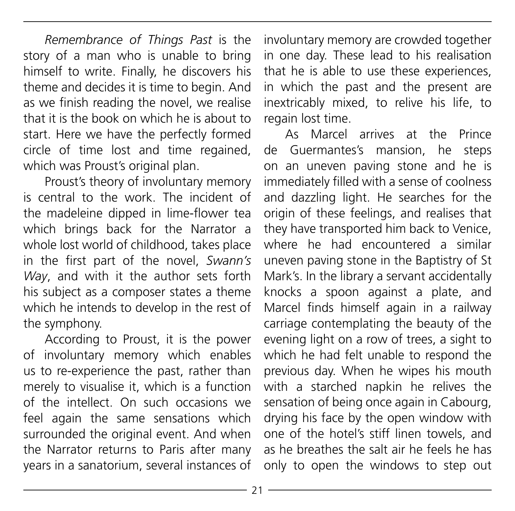*Remembrance of Things Past* is the story of a man who is unable to bring himself to write. Finally, he discovers his theme and decides it is time to begin. And as we finish reading the novel, we realise that it is the book on which he is about to start. Here we have the perfectly formed circle of time lost and time regained, which was Proust's original plan.

Proust's theory of involuntary memory is central to the work. The incident of the madeleine dipped in lime-flower tea which brings back for the Narrator a whole lost world of childhood, takes place in the first part of the novel, *Swann's Way*, and with it the author sets forth his subject as a composer states a theme which he intends to develop in the rest of the symphony.

According to Proust, it is the power of involuntary memory which enables us to re-experience the past, rather than merely to visualise it, which is a function of the intellect. On such occasions we feel again the same sensations which surrounded the original event. And when the Narrator returns to Paris after many years in a sanatorium, several instances of

involuntary memory are crowded together in one day. These lead to his realisation that he is able to use these experiences, in which the past and the present are inextricably mixed, to relive his life, to regain lost time.

As Marcel arrives at the Prince de Guermantes's mansion, he steps on an uneven paving stone and he is immediately filled with a sense of coolness and dazzling light. He searches for the origin of these feelings, and realises that they have transported him back to Venice, where he had encountered a similar uneven paving stone in the Baptistry of St Mark's. In the library a servant accidentally knocks a spoon against a plate, and Marcel finds himself again in a railway carriage contemplating the beauty of the evening light on a row of trees, a sight to which he had felt unable to respond the previous day. When he wipes his mouth with a starched napkin he relives the sensation of being once again in Cabourg, drying his face by the open window with one of the hotel's stiff linen towels, and as he breathes the salt air he feels he has only to open the windows to step out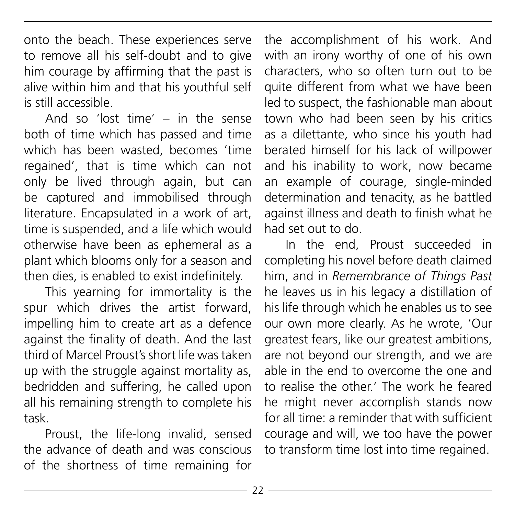onto the beach. These experiences serve to remove all his self-doubt and to give him courage by affirming that the past is alive within him and that his youthful self is still accessible.

And so 'lost time' – in the sense both of time which has passed and time which has been wasted, becomes 'time regained', that is time which can not only be lived through again, but can be captured and immobilised through literature. Encapsulated in a work of art, time is suspended, and a life which would otherwise have been as ephemeral as a plant which blooms only for a season and then dies, is enabled to exist indefinitely.

This yearning for immortality is the spur which drives the artist forward impelling him to create art as a defence against the finality of death. And the last third of Marcel Proust's short life was taken up with the struggle against mortality as, bedridden and suffering, he called upon all his remaining strength to complete his task.

Proust, the life-long invalid, sensed the advance of death and was conscious of the shortness of time remaining for the accomplishment of his work. And with an irony worthy of one of his own characters, who so often turn out to be quite different from what we have been led to suspect, the fashionable man about town who had been seen by his critics as a dilettante, who since his youth had berated himself for his lack of willpower and his inability to work, now became an example of courage, single-minded determination and tenacity, as he battled against illness and death to finish what he had set out to do.

In the end, Proust succeeded in completing his novel before death claimed him, and in *Remembrance of Things Past* he leaves us in his legacy a distillation of his life through which he enables us to see our own more clearly. As he wrote, 'Our greatest fears, like our greatest ambitions, are not beyond our strength, and we are able in the end to overcome the one and to realise the other.' The work he feared he might never accomplish stands now for all time: a reminder that with sufficient courage and will, we too have the power to transform time lost into time regained.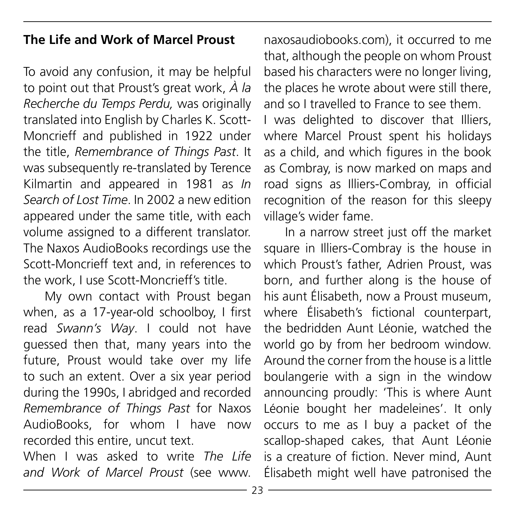#### **The Life and Work of Marcel Proust**

To avoid any confusion, it may be helpful to point out that Proust's great work, *À la Recherche du Temps Perdu,* was originally translated into English by Charles K. Scott-Moncrieff and published in 1922 under the title, *Remembrance of Things Past*. It was subsequently re-translated by Terence Kilmartin and appeared in 1981 as *In Search of Lost Time*. In 2002 a new edition appeared under the same title, with each volume assigned to a different translator. The Naxos AudioBooks recordings use the Scott-Moncrieff text and, in references to the work, I use Scott-Moncrieff's title.

My own contact with Proust began when, as a 17-year-old schoolboy, I first read *Swann's Way*. I could not have guessed then that, many years into the future, Proust would take over my life to such an extent. Over a six year period during the 1990s, I abridged and recorded *Remembrance of Things Past* for Naxos AudioBooks, for whom I have now recorded this entire, uncut text.

When I was asked to write *The Life and Work of Marcel Proust* (see www.

naxosaudiobooks.com), it occurred to me that, although the people on whom Proust based his characters were no longer living, the places he wrote about were still there, and so I travelled to France to see them. I was delighted to discover that Illiers, where Marcel Proust spent his holidays as a child, and which figures in the book as Combray, is now marked on maps and road signs as Illiers-Combray, in official recognition of the reason for this sleepy village's wider fame.

In a narrow street just off the market square in Illiers-Combray is the house in which Proust's father, Adrien Proust, was born, and further along is the house of his aunt Élisabeth, now a Proust museum, where Élisabeth's fictional counterpart, the bedridden Aunt Léonie, watched the world go by from her bedroom window. Around the corner from the house is a little boulangerie with a sign in the window announcing proudly: 'This is where Aunt Léonie bought her madeleines'. It only occurs to me as I buy a packet of the scallop-shaped cakes, that Aunt Léonie is a creature of fiction. Never mind, Aunt Élisabeth might well have patronised the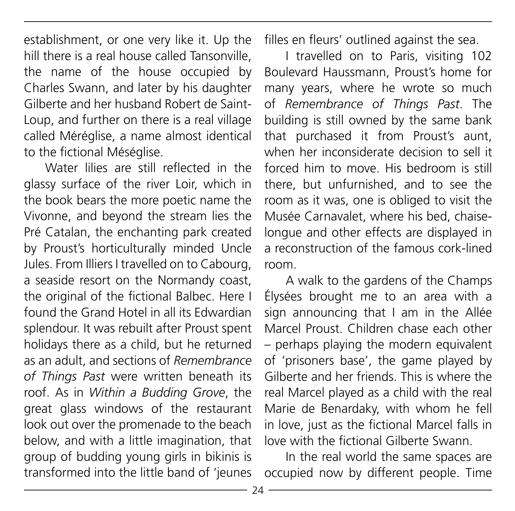establishment, or one very like it. Up the hill there is a real house called Tansonville, the name of the house occupied by Charles Swann, and later by his daughter Gilberte and her husband Robert de Saint-Loup, and further on there is a real village called Méréglise, a name almost identical to the fictional Méséglise.

Water lilies are still reflected in the glassy surface of the river Loir, which in the book bears the more poetic name the Vivonne, and beyond the stream lies the Pré Catalan, the enchanting park created by Proust's horticulturally minded Uncle Jules. From Illiers I travelled on to Cabourg, a seaside resort on the Normandy coast, the original of the fictional Balbec. Here I found the Grand Hotel in all its Edwardian splendour. It was rebuilt after Proust spent holidays there as a child, but he returned as an adult, and sections of *Remembrance of Things Past* were written beneath its roof. As in *Within a Budding Grove*, the great glass windows of the restaurant look out over the promenade to the beach below, and with a little imagination, that group of budding young girls in bikinis is transformed into the little band of 'jeunes filles en fleurs' outlined against the sea.

I travelled on to Paris, visiting 102 Boulevard Haussmann, Proust's home for many years, where he wrote so much of *Remembrance of Things Past*. The building is still owned by the same bank that purchased it from Proust's aunt, when her inconsiderate decision to sell it forced him to move. His bedroom is still there, but unfurnished, and to see the room as it was, one is obliged to visit the Musée Carnavalet, where his bed, chaiselongue and other effects are displayed in a reconstruction of the famous cork-lined room.

A walk to the gardens of the Champs Élysées brought me to an area with a sign announcing that I am in the Allée Marcel Proust. Children chase each other – perhaps playing the modern equivalent of 'prisoners base', the game played by Gilberte and her friends. This is where the real Marcel played as a child with the real Marie de Benardaky, with whom he fell in love, just as the fictional Marcel falls in love with the fictional Gilberte Swann.

In the real world the same spaces are occupied now by different people. Time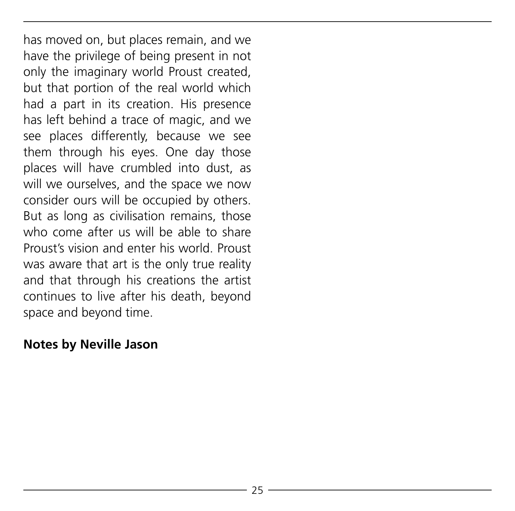has moved on, but places remain, and we have the privilege of being present in not only the imaginary world Proust created, but that portion of the real world which had a part in its creation. His presence has left behind a trace of magic, and we see places differently, because we see them through his eyes. One day those places will have crumbled into dust, as will we ourselves, and the space we now consider ours will be occupied by others. But as long as civilisation remains, those who come after us will be able to share Proust's vision and enter his world. Proust was aware that art is the only true reality and that through his creations the artist continues to live after his death, beyond space and beyond time.

#### **Notes by Neville Jason**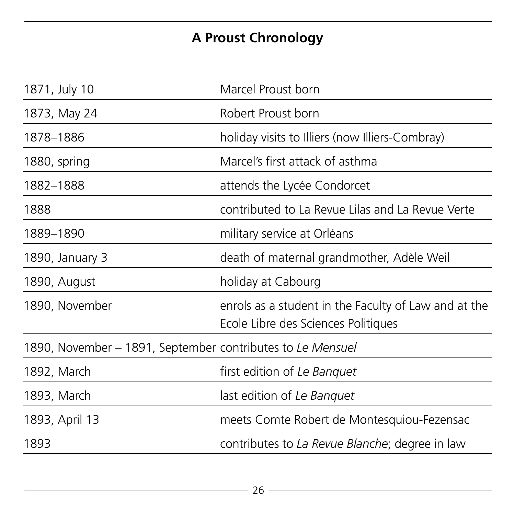# **A Proust Chronology**

| 1871, July 10                                              | Marcel Proust born                                                                          |
|------------------------------------------------------------|---------------------------------------------------------------------------------------------|
| 1873, May 24                                               | Robert Proust born                                                                          |
| 1878-1886                                                  | holiday visits to Illiers (now Illiers-Combray)                                             |
| 1880, spring                                               | Marcel's first attack of asthma                                                             |
| 1882-1888                                                  | attends the Lycée Condorcet                                                                 |
| 1888                                                       | contributed to La Revue Lilas and La Revue Verte                                            |
| 1889-1890                                                  | military service at Orléans                                                                 |
| 1890, January 3                                            | death of maternal grandmother, Adèle Weil                                                   |
| 1890, August                                               | holiday at Cabourg                                                                          |
| 1890, November                                             | enrols as a student in the Faculty of Law and at the<br>Ecole Libre des Sciences Politiques |
| 1890, November – 1891, September contributes to Le Mensuel |                                                                                             |
| 1892, March                                                | first edition of Le Banguet                                                                 |
| 1893, March                                                | last edition of Le Banquet                                                                  |
| 1893, April 13                                             | meets Comte Robert de Montesquiou-Fezensac                                                  |
| 1893                                                       | contributes to La Revue Blanche; degree in law                                              |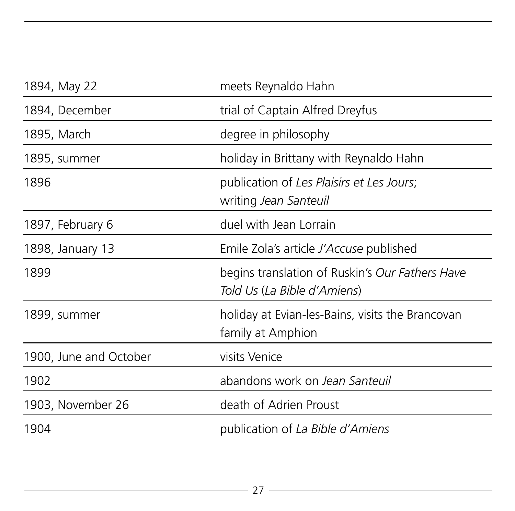| 1894, May 22           | meets Reynaldo Hahn                                                            |
|------------------------|--------------------------------------------------------------------------------|
| 1894, December         | trial of Captain Alfred Dreyfus                                                |
| 1895, March            | degree in philosophy                                                           |
| 1895, summer           | holiday in Brittany with Reynaldo Hahn                                         |
| 1896                   | publication of Les Plaisirs et Les Jours;<br>writing Jean Santeuil             |
| 1897, February 6       | duel with Jean Lorrain                                                         |
| 1898, January 13       | Emile Zola's article J'Accuse published                                        |
| 1899                   | begins translation of Ruskin's Our Fathers Have<br>Told Us (La Bible d'Amiens) |
| 1899, summer           | holiday at Evian-les-Bains, visits the Brancovan<br>family at Amphion          |
| 1900, June and October | visits Venice                                                                  |
| 1902                   | abandons work on Jean Santeuil                                                 |
| 1903, November 26      | death of Adrien Proust                                                         |
| 1904                   | publication of La Bible d'Amiens                                               |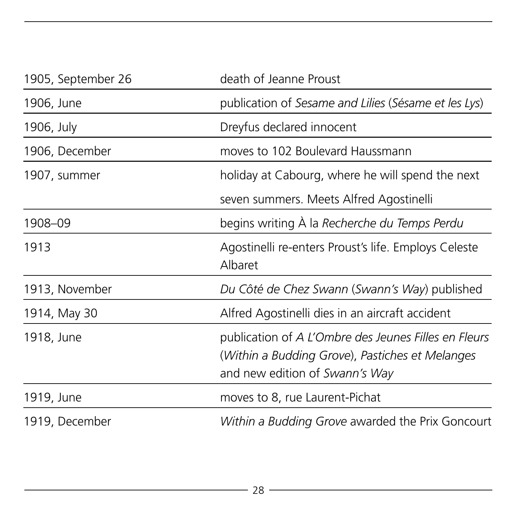| 1905, September 26 | death of Jeanne Proust                                                                                                                    |
|--------------------|-------------------------------------------------------------------------------------------------------------------------------------------|
| 1906, June         | publication of Sesame and Lilies (Sésame et les Lys)                                                                                      |
| 1906, July         | Dreyfus declared innocent                                                                                                                 |
| 1906, December     | moves to 102 Boulevard Haussmann                                                                                                          |
| 1907, summer       | holiday at Cabourg, where he will spend the next                                                                                          |
|                    | seven summers. Meets Alfred Agostinelli                                                                                                   |
| 1908-09            | begins writing À la Recherche du Temps Perdu                                                                                              |
| 1913               | Agostinelli re-enters Proust's life. Employs Celeste<br>Albaret                                                                           |
| 1913, November     | Du Côté de Chez Swann (Swann's Way) published                                                                                             |
| 1914, May 30       | Alfred Agostinelli dies in an aircraft accident                                                                                           |
| 1918, June         | publication of A L'Ombre des Jeunes Filles en Fleurs<br>(Within a Budding Grove), Pastiches et Melanges<br>and new edition of Swann's Way |
| 1919, June         | moves to 8, rue Laurent-Pichat                                                                                                            |
| 1919, December     | Within a Budding Grove awarded the Prix Goncourt                                                                                          |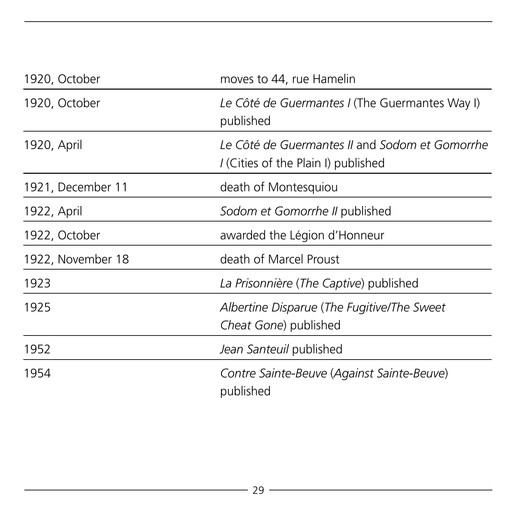| 1920, October     | moves to 44, rue Hamelin                                                              |
|-------------------|---------------------------------------------------------------------------------------|
| 1920, October     | Le Côté de Guermantes I (The Guermantes Way I)<br>published                           |
| 1920, April       | Le Côté de Guermantes II and Sodom et Gomorrhe<br>I (Cities of the Plain I) published |
| 1921, December 11 | death of Montesquiou                                                                  |
| 1922, April       | Sodom et Gomorrhe II published                                                        |
| 1922, October     | awarded the Légion d'Honneur                                                          |
| 1922, November 18 | death of Marcel Proust                                                                |
| 1923              | La Prisonnière (The Captive) published                                                |
| 1925              | Albertine Disparue (The Fugitive/The Sweet<br>Cheat Gone) published                   |
| 1952              | Jean Santeuil published                                                               |
| 1954              | Contre Sainte-Beuve (Against Sainte-Beuve)<br>published                               |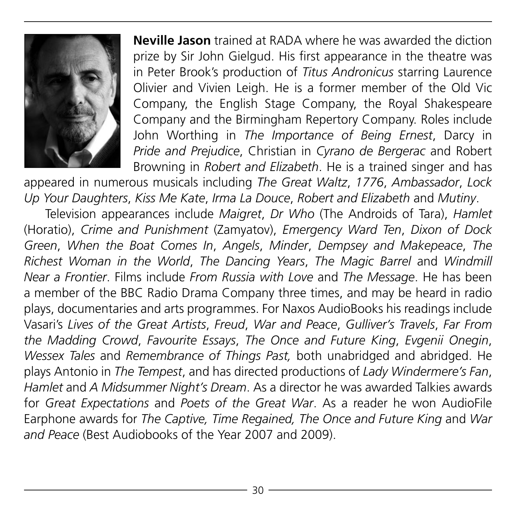

**Neville Jason** trained at RADA where he was awarded the diction prize by Sir John Gielgud. His first appearance in the theatre was in Peter Brook's production of *Titus Andronicus* starring Laurence Olivier and Vivien Leigh. He is a former member of the Old Vic Company, the English Stage Company, the Royal Shakespeare Company and the Birmingham Repertory Company. Roles include John Worthing in *The Importance of Being Ernest*, Darcy in *Pride and Prejudice*, Christian in *Cyrano de Bergerac* and Robert Browning in *Robert and Elizabeth*. He is a trained singer and has

appeared in numerous musicals including *The Great Waltz*, *1776*, *Ambassador*, *Lock Up Your Daughters*, *Kiss Me Kate*, *Irma La Douce*, *Robert and Elizabeth* and *Mutiny*.

Television appearances include *Maigret*, *Dr Who* (The Androids of Tara), *Hamlet*  (Horatio), *Crime and Punishment* (Zamyatov), *Emergency Ward Ten*, *Dixon of Dock Green*, *When the Boat Comes In*, *Angels*, *Minder*, *Dempsey and Makepeace*, *The Richest Woman in the World*, *The Dancing Years*, *The Magic Barrel* and *Windmill Near a Frontier*. Films include *From Russia with Love* and *The Message*. He has been a member of the BBC Radio Drama Company three times, and may be heard in radio plays, documentaries and arts programmes. For Naxos AudioBooks his readings include Vasari's *Lives of the Great Artists*, *Freud*, *War and Peace*, *Gulliver's Travels*, *Far From the Madding Crowd*, *Favourite Essays*, *The Once and Future King*, *Evgenii Onegin*, *Wessex Tales* and *Remembrance of Things Past,* both unabridged and abridged. He plays Antonio in *The Tempest*, and has directed productions of *Lady Windermere's Fan*, *Hamlet* and *A Midsummer Night's Dream*. As a director he was awarded Talkies awards for *Great Expectations* and *Poets of the Great War*. As a reader he won AudioFile Earphone awards for *The Captive, Time Regained, The Once and Future King* and *War and Peace* (Best Audiobooks of the Year 2007 and 2009).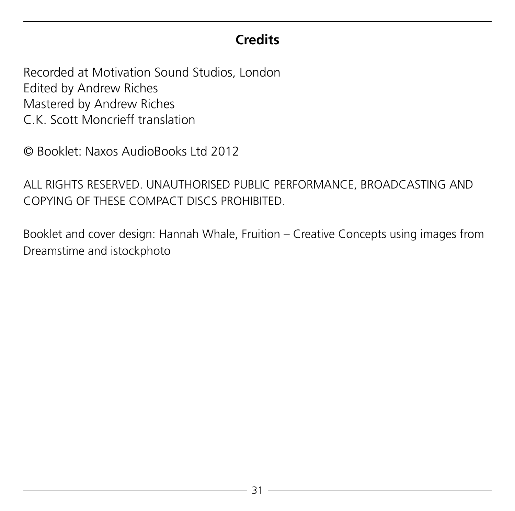#### **Credits**

Recorded at Motivation Sound Studios, London Edited by Andrew Riches Mastered by Andrew Riches C.K. Scott Moncrieff translation

© Booklet: Naxos AudioBooks Ltd 2012

ALL RIGHTS RESERVED. UNAUTHORISED PUBLIC PERFORMANCE, BROADCASTING AND COPYING OF THESE COMPACT DISCS PROHIBITED.

Booklet and cover design: Hannah Whale, Fruition – Creative Concepts using images from Dreamstime and istockphoto